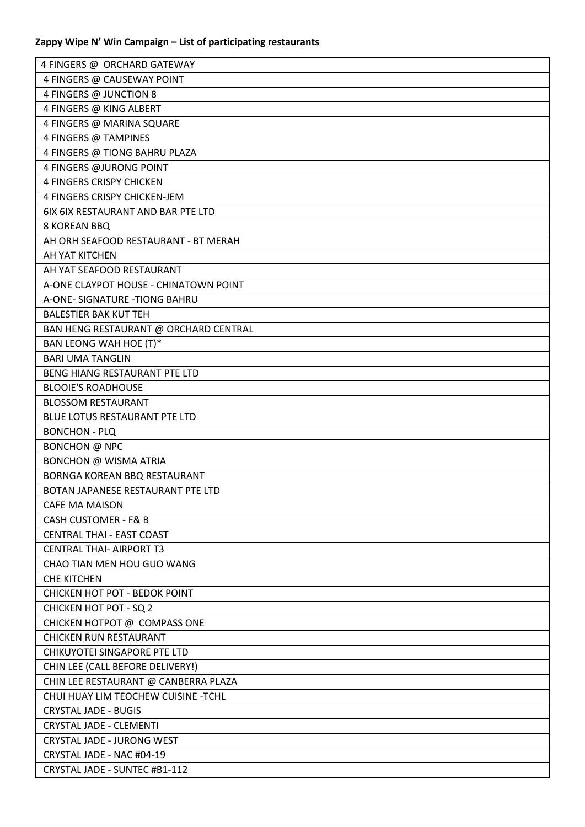| 4 FINGERS @ ORCHARD GATEWAY           |
|---------------------------------------|
| 4 FINGERS @ CAUSEWAY POINT            |
| 4 FINGERS @ JUNCTION 8                |
| 4 FINGERS @ KING ALBERT               |
| 4 FINGERS @ MARINA SQUARE             |
| 4 FINGERS @ TAMPINES                  |
| 4 FINGERS @ TIONG BAHRU PLAZA         |
| <b>4 FINGERS @JURONG POINT</b>        |
| <b>4 FINGERS CRISPY CHICKEN</b>       |
| 4 FINGERS CRISPY CHICKEN-JEM          |
| 6IX 6IX RESTAURANT AND BAR PTE LTD    |
| 8 KOREAN BBQ                          |
| AH ORH SEAFOOD RESTAURANT - BT MERAH  |
| AH YAT KITCHEN                        |
| AH YAT SEAFOOD RESTAURANT             |
| A-ONE CLAYPOT HOUSE - CHINATOWN POINT |
| A-ONE- SIGNATURE - TIONG BAHRU        |
| <b>BALESTIER BAK KUT TEH</b>          |
| BAN HENG RESTAURANT @ ORCHARD CENTRAL |
| BAN LEONG WAH HOE (T)*                |
| <b>BARI UMA TANGLIN</b>               |
| BENG HIANG RESTAURANT PTE LTD         |
| <b>BLOOIE'S ROADHOUSE</b>             |
| <b>BLOSSOM RESTAURANT</b>             |
| BLUE LOTUS RESTAURANT PTE LTD         |
| <b>BONCHON - PLQ</b>                  |
| BONCHON @ NPC                         |
| <b>BONCHON @ WISMA ATRIA</b>          |
| BORNGA KOREAN BBQ RESTAURANT          |
| BOTAN JAPANESE RESTAURANT PTE LTD     |
| <b>CAFE MA MAISON</b>                 |
| <b>CASH CUSTOMER - F&amp; B</b>       |
| <b>CENTRAL THAI - EAST COAST</b>      |
| <b>CENTRAL THAI- AIRPORT T3</b>       |
| CHAO TIAN MEN HOU GUO WANG            |
| <b>CHE KITCHEN</b>                    |
| <b>CHICKEN HOT POT - BEDOK POINT</b>  |
| <b>CHICKEN HOT POT - SQ 2</b>         |
| CHICKEN HOTPOT @ COMPASS ONE          |
| <b>CHICKEN RUN RESTAURANT</b>         |
| CHIKUYOTEI SINGAPORE PTE LTD          |
| CHIN LEE (CALL BEFORE DELIVERY!)      |
| CHIN LEE RESTAURANT @ CANBERRA PLAZA  |
| CHUI HUAY LIM TEOCHEW CUISINE -TCHL   |
| <b>CRYSTAL JADE - BUGIS</b>           |
| CRYSTAL JADE - CLEMENTI               |
| CRYSTAL JADE - JURONG WEST            |
| CRYSTAL JADE - NAC #04-19             |
| CRYSTAL JADE - SUNTEC #B1-112         |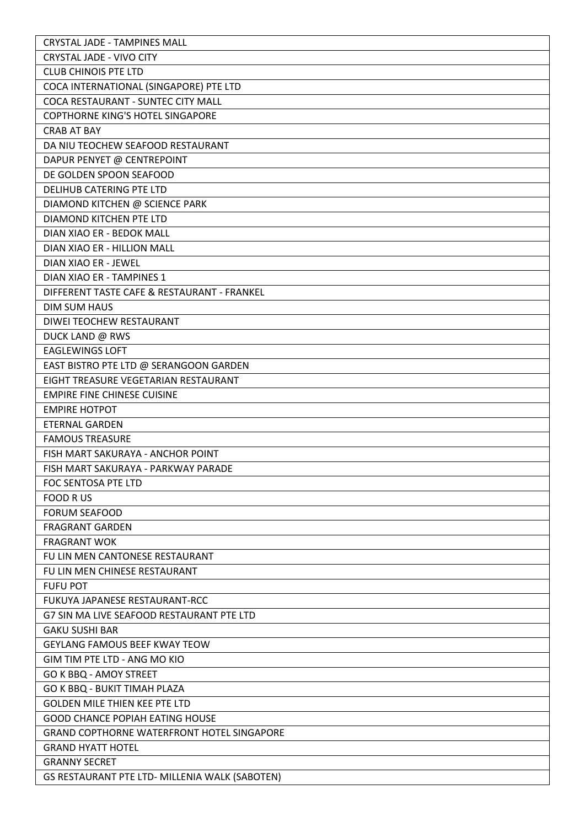| <b>CRYSTAL JADE - TAMPINES MALL</b>               |
|---------------------------------------------------|
| <b>CRYSTAL JADE - VIVO CITY</b>                   |
| <b>CLUB CHINOIS PTE LTD</b>                       |
| COCA INTERNATIONAL (SINGAPORE) PTE LTD            |
| COCA RESTAURANT - SUNTEC CITY MALL                |
| <b>COPTHORNE KING'S HOTEL SINGAPORE</b>           |
| <b>CRAB AT BAY</b>                                |
| DA NIU TEOCHEW SEAFOOD RESTAURANT                 |
| DAPUR PENYET @ CENTREPOINT                        |
| DE GOLDEN SPOON SEAFOOD                           |
| <b>DELIHUB CATERING PTE LTD</b>                   |
| DIAMOND KITCHEN @ SCIENCE PARK                    |
| DIAMOND KITCHEN PTE LTD                           |
| DIAN XIAO ER - BEDOK MALL                         |
| DIAN XIAO ER - HILLION MALL                       |
| DIAN XIAO ER - JEWEL                              |
| DIAN XIAO ER - TAMPINES 1                         |
| DIFFERENT TASTE CAFE & RESTAURANT - FRANKEL       |
| <b>DIM SUM HAUS</b>                               |
| DIWEI TEOCHEW RESTAURANT                          |
| DUCK LAND @ RWS                                   |
| <b>EAGLEWINGS LOFT</b>                            |
| EAST BISTRO PTE LTD @ SERANGOON GARDEN            |
| EIGHT TREASURE VEGETARIAN RESTAURANT              |
| <b>EMPIRE FINE CHINESE CUISINE</b>                |
| <b>EMPIRE HOTPOT</b>                              |
| <b>ETERNAL GARDEN</b>                             |
| <b>FAMOUS TREASURE</b>                            |
| FISH MART SAKURAYA - ANCHOR POINT                 |
| FISH MART SAKURAYA - PARKWAY PARADE               |
| FOC SENTOSA PTE LTD                               |
| <b>FOOD RUS</b>                                   |
| <b>FORUM SEAFOOD</b>                              |
| <b>FRAGRANT GARDEN</b>                            |
| <b>FRAGRANT WOK</b>                               |
| FU LIN MEN CANTONESE RESTAURANT                   |
| FU LIN MEN CHINESE RESTAURANT                     |
| <b>FUFU POT</b>                                   |
| FUKUYA JAPANESE RESTAURANT-RCC                    |
| G7 SIN MA LIVE SEAFOOD RESTAURANT PTE LTD         |
| <b>GAKU SUSHI BAR</b>                             |
| <b>GEYLANG FAMOUS BEEF KWAY TEOW</b>              |
| GIM TIM PTE LTD - ANG MO KIO                      |
| GO K BBQ - AMOY STREET                            |
| GO K BBQ - BUKIT TIMAH PLAZA                      |
| <b>GOLDEN MILE THIEN KEE PTE LTD</b>              |
| <b>GOOD CHANCE POPIAH EATING HOUSE</b>            |
| <b>GRAND COPTHORNE WATERFRONT HOTEL SINGAPORE</b> |
| <b>GRAND HYATT HOTEL</b>                          |
| <b>GRANNY SECRET</b>                              |
| GS RESTAURANT PTE LTD- MILLENIA WALK (SABOTEN)    |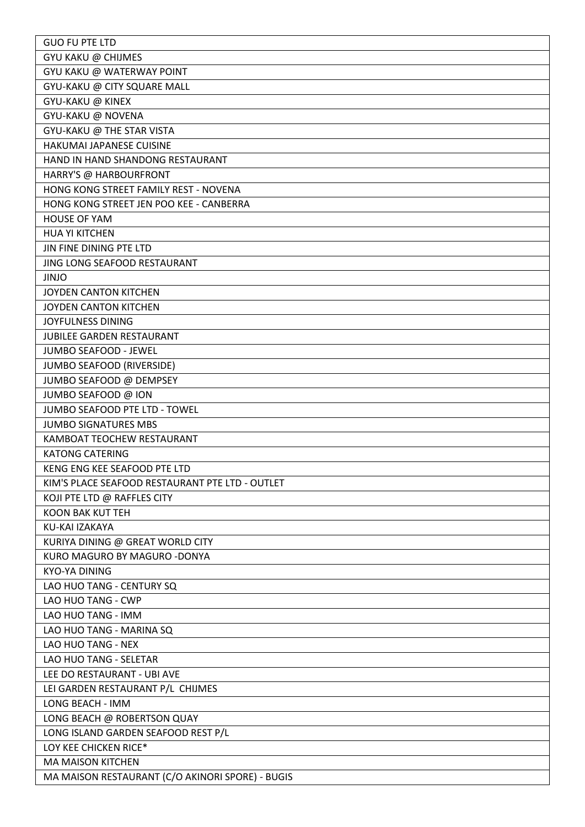| <b>GUO FU PTE LTD</b>                                 |
|-------------------------------------------------------|
| GYU KAKU @ CHIJMES                                    |
| GYU KAKU @ WATERWAY POINT                             |
| GYU-KAKU @ CITY SQUARE MALL                           |
| GYU-KAKU @ KINEX                                      |
| GYU-KAKU @ NOVENA                                     |
| GYU-KAKU @ THE STAR VISTA                             |
| HAKUMAI JAPANESE CUISINE                              |
| HAND IN HAND SHANDONG RESTAURANT                      |
| HARRY'S @ HARBOURFRONT                                |
| HONG KONG STREET FAMILY REST - NOVENA                 |
| HONG KONG STREET JEN POO KEE - CANBERRA               |
| <b>HOUSE OF YAM</b>                                   |
| <b>HUA YI KITCHEN</b>                                 |
| JIN FINE DINING PTE LTD                               |
| JING LONG SEAFOOD RESTAURANT                          |
| <b>JINJO</b>                                          |
| JOYDEN CANTON KITCHEN                                 |
| JOYDEN CANTON KITCHEN                                 |
| JOYFULNESS DINING                                     |
| <b>JUBILEE GARDEN RESTAURANT</b>                      |
| JUMBO SEAFOOD - JEWEL                                 |
| JUMBO SEAFOOD (RIVERSIDE)                             |
| JUMBO SEAFOOD @ DEMPSEY                               |
| JUMBO SEAFOOD @ ION                                   |
| JUMBO SEAFOOD PTE LTD - TOWEL                         |
| <b>JUMBO SIGNATURES MBS</b>                           |
| KAMBOAT TEOCHEW RESTAURANT                            |
| <b>KATONG CATERING</b>                                |
| KENG ENG KEE SEAFOOD PTE LTD                          |
| KIM'S PLACE SEAFOOD RESTAURANT PTE LTD - OUTLET       |
| KOJI PTE LTD @ RAFFLES CITY                           |
| <b>KOON BAK KUT TEH</b>                               |
| KU-KAI IZAKAYA                                        |
| KURIYA DINING @ GREAT WORLD CITY                      |
| KURO MAGURO BY MAGURO -DONYA                          |
| <b>KYO-YA DINING</b>                                  |
| LAO HUO TANG - CENTURY SQ                             |
| LAO HUO TANG - CWP                                    |
| LAO HUO TANG - IMM                                    |
| LAO HUO TANG - MARINA SQ                              |
| LAO HUO TANG - NEX                                    |
|                                                       |
| LAO HUO TANG - SELETAR<br>LEE DO RESTAURANT - UBI AVE |
|                                                       |
| LEI GARDEN RESTAURANT P/L CHIJMES                     |
| LONG BEACH - IMM                                      |
| LONG BEACH @ ROBERTSON QUAY                           |
| LONG ISLAND GARDEN SEAFOOD REST P/L                   |
| LOY KEE CHICKEN RICE*                                 |
| <b>MA MAISON KITCHEN</b>                              |
| MA MAISON RESTAURANT (C/O AKINORI SPORE) - BUGIS      |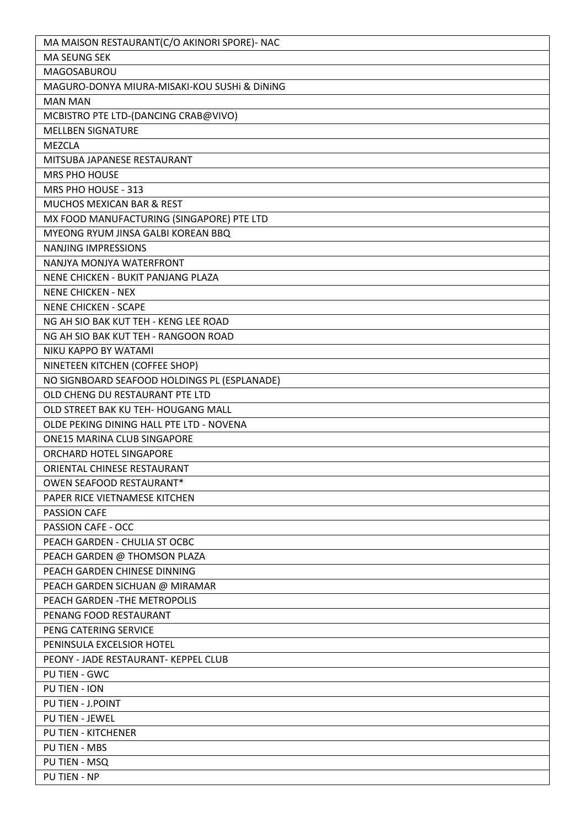| MA MAISON RESTAURANT(C/O AKINORI SPORE)- NAC |
|----------------------------------------------|
| <b>MA SEUNG SEK</b>                          |
| MAGOSABUROU                                  |
| MAGURO-DONYA MIURA-MISAKI-KOU SUSHI & DINING |
| <b>MAN MAN</b>                               |
| MCBISTRO PTE LTD-(DANCING CRAB@VIVO)         |
| <b>MELLBEN SIGNATURE</b>                     |
| <b>MEZCLA</b>                                |
| MITSUBA JAPANESE RESTAURANT                  |
| <b>MRS PHO HOUSE</b>                         |
| MRS PHO HOUSE - 313                          |
| MUCHOS MEXICAN BAR & REST                    |
| MX FOOD MANUFACTURING (SINGAPORE) PTE LTD    |
| MYEONG RYUM JINSA GALBI KOREAN BBQ           |
| <b>NANJING IMPRESSIONS</b>                   |
| NANJYA MONJYA WATERFRONT                     |
| NENE CHICKEN - BUKIT PANJANG PLAZA           |
| <b>NENE CHICKEN - NEX</b>                    |
| <b>NENE CHICKEN - SCAPE</b>                  |
| NG AH SIO BAK KUT TEH - KENG LEE ROAD        |
| NG AH SIO BAK KUT TEH - RANGOON ROAD         |
|                                              |
| NIKU KAPPO BY WATAMI                         |
| NINETEEN KITCHEN (COFFEE SHOP)               |
| NO SIGNBOARD SEAFOOD HOLDINGS PL (ESPLANADE) |
| OLD CHENG DU RESTAURANT PTE LTD              |
| OLD STREET BAK KU TEH- HOUGANG MALL          |
| OLDE PEKING DINING HALL PTE LTD - NOVENA     |
| ONE15 MARINA CLUB SINGAPORE                  |
| ORCHARD HOTEL SINGAPORE                      |
| ORIENTAL CHINESE RESTAURANT                  |
| OWEN SEAFOOD RESTAURANT*                     |
| PAPER RICE VIETNAMESE KITCHEN                |
| <b>PASSION CAFE</b>                          |
| <b>PASSION CAFE - OCC</b>                    |
| PEACH GARDEN - CHULIA ST OCBC                |
| PEACH GARDEN @ THOMSON PLAZA                 |
| PEACH GARDEN CHINESE DINNING                 |
| PEACH GARDEN SICHUAN @ MIRAMAR               |
| PEACH GARDEN - THE METROPOLIS                |
| PENANG FOOD RESTAURANT                       |
| PENG CATERING SERVICE                        |
| PENINSULA EXCELSIOR HOTEL                    |
| PEONY - JADE RESTAURANT- KEPPEL CLUB         |
| PU TIEN - GWC                                |
| PU TIEN - ION                                |
| PU TIEN - J.POINT                            |
| <b>PU TIEN - JEWEL</b>                       |
| PU TIEN - KITCHENER                          |
| PU TIEN - MBS                                |
| PU TIEN - MSQ                                |
| <b>PU TIEN - NP</b>                          |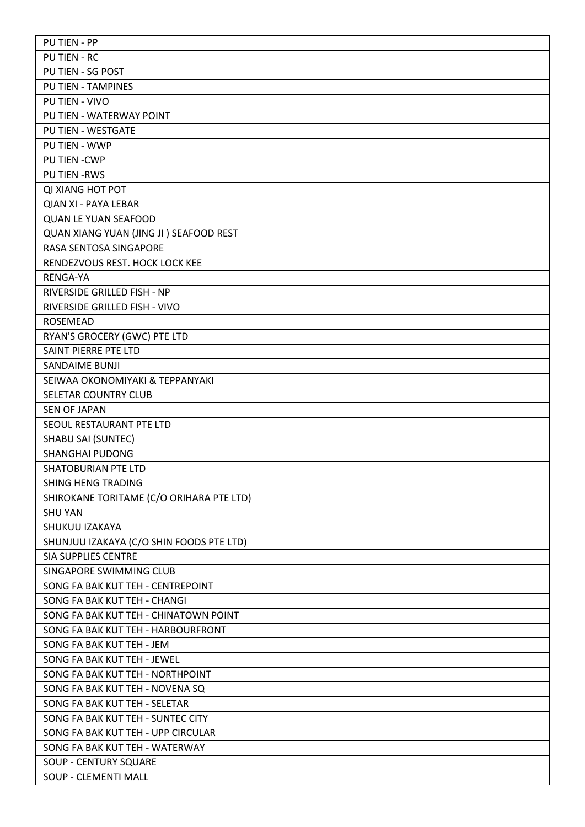| <b>PUTIEN - PP</b>                       |
|------------------------------------------|
| <b>PU TIEN - RC</b>                      |
| PU TIEN - SG POST                        |
| <b>PU TIEN - TAMPINES</b>                |
| PU TIEN - VIVO                           |
| PU TIEN - WATERWAY POINT                 |
| PU TIEN - WESTGATE                       |
| PU TIEN - WWP                            |
| PU TIEN - CWP                            |
| <b>PU TIEN -RWS</b>                      |
| <b>QI XIANG HOT POT</b>                  |
| QIAN XI - PAYA LEBAR                     |
| <b>QUAN LE YUAN SEAFOOD</b>              |
| QUAN XIANG YUAN (JING JI) SEAFOOD REST   |
| RASA SENTOSA SINGAPORE                   |
| RENDEZVOUS REST. HOCK LOCK KEE           |
| <b>RENGA-YA</b>                          |
| RIVERSIDE GRILLED FISH - NP              |
| RIVERSIDE GRILLED FISH - VIVO            |
| <b>ROSEMEAD</b>                          |
| RYAN'S GROCERY (GWC) PTE LTD             |
| SAINT PIERRE PTE LTD                     |
| <b>SANDAIME BUNJI</b>                    |
| SEIWAA OKONOMIYAKI & TEPPANYAKI          |
| SELETAR COUNTRY CLUB                     |
| <b>SEN OF JAPAN</b>                      |
| SEOUL RESTAURANT PTE LTD                 |
| <b>SHABU SAI (SUNTEC)</b>                |
|                                          |
| <b>SHANGHAI PUDONG</b>                   |
| <b>SHATOBURIAN PTE LTD</b>               |
| SHING HENG TRADING                       |
| SHIROKANE TORITAME (C/O ORIHARA PTE LTD) |
| <b>SHU YAN</b>                           |
| SHUKUU IZAKAYA                           |
| SHUNJUU IZAKAYA (C/O SHIN FOODS PTE LTD) |
| <b>SIA SUPPLIES CENTRE</b>               |
| SINGAPORE SWIMMING CLUB                  |
| SONG FA BAK KUT TEH - CENTREPOINT        |
| SONG FA BAK KUT TEH - CHANGI             |
| SONG FA BAK KUT TEH - CHINATOWN POINT    |
| SONG FA BAK KUT TEH - HARBOURFRONT       |
| SONG FA BAK KUT TEH - JEM                |
| SONG FA BAK KUT TEH - JEWEL              |
| SONG FA BAK KUT TEH - NORTHPOINT         |
| SONG FA BAK KUT TEH - NOVENA SQ          |
| SONG FA BAK KUT TEH - SELETAR            |
| SONG FA BAK KUT TEH - SUNTEC CITY        |
| SONG FA BAK KUT TEH - UPP CIRCULAR       |
| SONG FA BAK KUT TEH - WATERWAY           |
| <b>SOUP - CENTURY SQUARE</b>             |
| SOUP - CLEMENTI MALL                     |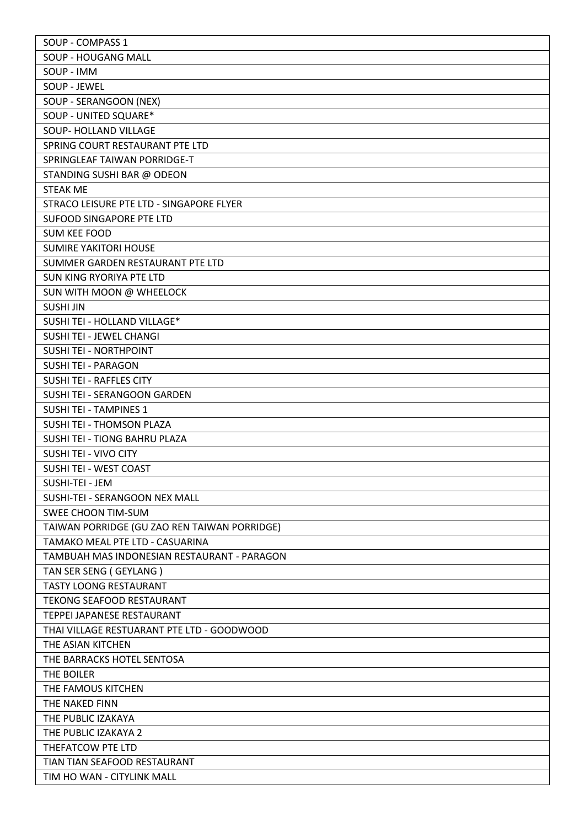| SOUP - COMPASS 1                             |
|----------------------------------------------|
| SOUP - HOUGANG MALL                          |
| SOUP - IMM                                   |
| SOUP - JEWEL                                 |
| SOUP - SERANGOON (NEX)                       |
| SOUP - UNITED SQUARE*                        |
| SOUP- HOLLAND VILLAGE                        |
| SPRING COURT RESTAURANT PTE LTD              |
| SPRINGLEAF TAIWAN PORRIDGE-T                 |
| STANDING SUSHI BAR @ ODEON                   |
| <b>STEAK ME</b>                              |
| STRACO LEISURE PTE LTD - SINGAPORE FLYER     |
| SUFOOD SINGAPORE PTE LTD                     |
| <b>SUM KEE FOOD</b>                          |
| <b>SUMIRE YAKITORI HOUSE</b>                 |
| SUMMER GARDEN RESTAURANT PTE LTD             |
| SUN KING RYORIYA PTE LTD                     |
| SUN WITH MOON @ WHEELOCK                     |
| <b>SUSHI JIN</b>                             |
| SUSHI TEI - HOLLAND VILLAGE*                 |
|                                              |
| SUSHI TEI - JEWEL CHANGI                     |
| SUSHI TEI - NORTHPOINT                       |
| <b>SUSHI TEI - PARAGON</b>                   |
| <b>SUSHI TEI - RAFFLES CITY</b>              |
| SUSHI TEI - SERANGOON GARDEN                 |
| <b>SUSHI TEI - TAMPINES 1</b>                |
| SUSHI TEI - THOMSON PLAZA                    |
| SUSHI TEI - TIONG BAHRU PLAZA                |
| SUSHI TEI - VIVO CITY                        |
| SUSHI TEI - WEST COAST                       |
| SUSHI-TEI - JEM                              |
| SUSHI-TEI - SERANGOON NEX MALL               |
| <b>SWEE CHOON TIM-SUM</b>                    |
| TAIWAN PORRIDGE (GU ZAO REN TAIWAN PORRIDGE) |
| TAMAKO MEAL PTE LTD - CASUARINA              |
| TAMBUAH MAS INDONESIAN RESTAURANT - PARAGON  |
| TAN SER SENG (GEYLANG)                       |
| <b>TASTY LOONG RESTAURANT</b>                |
| <b>TEKONG SEAFOOD RESTAURANT</b>             |
| TEPPEI JAPANESE RESTAURANT                   |
| THAI VILLAGE RESTUARANT PTE LTD - GOODWOOD   |
| THE ASIAN KITCHEN                            |
| THE BARRACKS HOTEL SENTOSA                   |
| THE BOILER                                   |
| THE FAMOUS KITCHEN                           |
| THE NAKED FINN                               |
| THE PUBLIC IZAKAYA                           |
| THE PUBLIC IZAKAYA 2                         |
| THEFATCOW PTE LTD                            |
| TIAN TIAN SEAFOOD RESTAURANT                 |
| TIM HO WAN - CITYLINK MALL                   |
|                                              |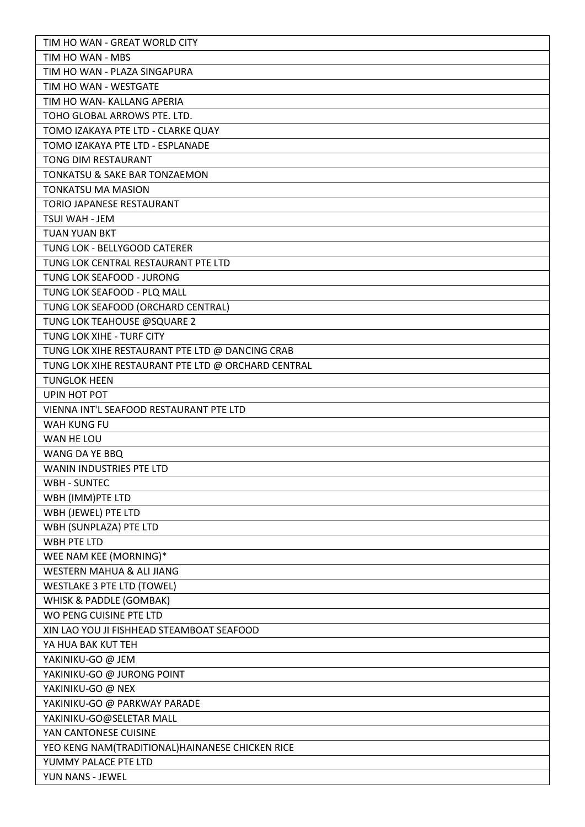| TIM HO WAN - GREAT WORLD CITY                                             |
|---------------------------------------------------------------------------|
| TIM HO WAN - MBS                                                          |
| TIM HO WAN - PLAZA SINGAPURA                                              |
| TIM HO WAN - WESTGATE                                                     |
| TIM HO WAN- KALLANG APERIA                                                |
| TOHO GLOBAL ARROWS PTE. LTD.                                              |
| TOMO IZAKAYA PTE LTD - CLARKE QUAY                                        |
| TOMO IZAKAYA PTE LTD - ESPLANADE                                          |
| TONG DIM RESTAURANT                                                       |
| <b>TONKATSU &amp; SAKE BAR TONZAEMON</b>                                  |
| <b>TONKATSU MA MASION</b>                                                 |
| TORIO JAPANESE RESTAURANT                                                 |
| TSUI WAH - JEM                                                            |
| <b>TUAN YUAN BKT</b>                                                      |
| TUNG LOK - BELLYGOOD CATERER                                              |
| TUNG LOK CENTRAL RESTAURANT PTE LTD                                       |
| TUNG LOK SEAFOOD - JURONG                                                 |
| TUNG LOK SEAFOOD - PLQ MALL                                               |
| TUNG LOK SEAFOOD (ORCHARD CENTRAL)                                        |
| TUNG LOK TEAHOUSE @SQUARE 2                                               |
| TUNG LOK XIHE - TURF CITY                                                 |
| TUNG LOK XIHE RESTAURANT PTE LTD @ DANCING CRAB                           |
|                                                                           |
| TUNG LOK XIHE RESTAURANT PTE LTD @ ORCHARD CENTRAL<br><b>TUNGLOK HEEN</b> |
| UPIN HOT POT                                                              |
| VIENNA INT'L SEAFOOD RESTAURANT PTE LTD                                   |
|                                                                           |
| <b>WAH KUNG FU</b>                                                        |
| WAN HE LOU                                                                |
| WANG DA YE BBQ                                                            |
| <b>WANIN INDUSTRIES PTE LTD</b>                                           |
| <b>WBH - SUNTEC</b>                                                       |
| WBH (IMM)PTE LTD                                                          |
| WBH (JEWEL) PTE LTD                                                       |
| WBH (SUNPLAZA) PTE LTD                                                    |
| <b>WBH PTE LTD</b>                                                        |
| WEE NAM KEE (MORNING)*                                                    |
| WESTERN MAHUA & ALI JIANG                                                 |
| <b>WESTLAKE 3 PTE LTD (TOWEL)</b>                                         |
| WHISK & PADDLE (GOMBAK)                                                   |
| WO PENG CUISINE PTE LTD                                                   |
| XIN LAO YOU JI FISHHEAD STEAMBOAT SEAFOOD                                 |
| YA HUA BAK KUT TEH                                                        |
| YAKINIKU-GO @ JEM                                                         |
| YAKINIKU-GO @ JURONG POINT                                                |
| YAKINIKU-GO @ NEX                                                         |
| YAKINIKU-GO @ PARKWAY PARADE                                              |
| YAKINIKU-GO@SELETAR MALL                                                  |
| YAN CANTONESE CUISINE                                                     |
| YEO KENG NAM(TRADITIONAL)HAINANESE CHICKEN RICE                           |
| YUMMY PALACE PTE LTD                                                      |
| YUN NANS - JEWEL                                                          |